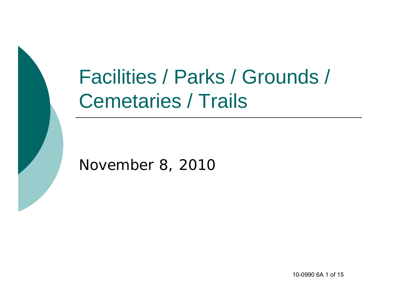# Facilities / Parks / Grounds / Cemetaries / Trails

#### November 8, 2010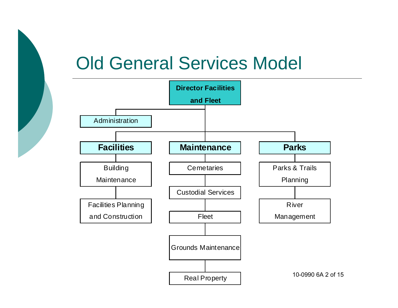### Old General Services Model

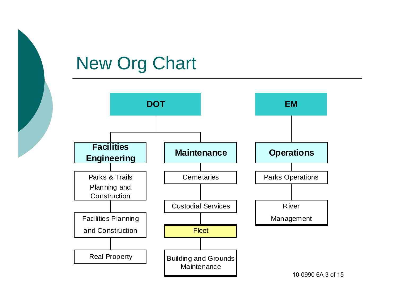# New Org Chart



10-0990 6A 3 of 15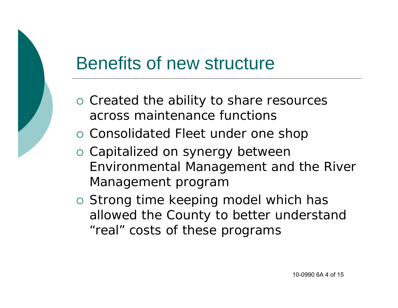#### Benefits of new structure

- o Created the ability to share resources across maintenance functions
- o Consolidated Fleet under one shop
- o Capitalized on synergy between Environmental Management and the River Management program
- o Strong time keeping model which has allowed the County to better understand "real" costs of these programs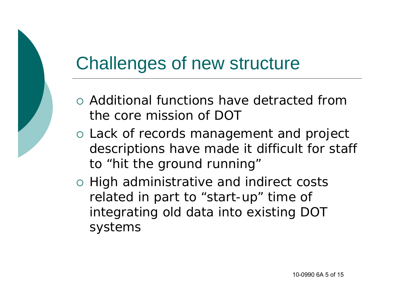#### Challenges of new structure

- Additional functions have detracted from the core mission of DOT
- o Lack of records management and project descriptions have made it difficult for staff to "hit the ground running"
- o High administrative and indirect costs related in part to "start-up" time of integrating old data into existing DOT systems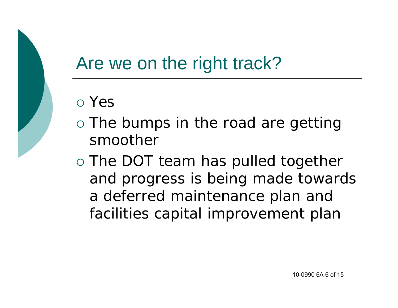#### Are we on the right track?

#### Yes

- o The bumps in the road are getting smoother
- o The DOT team has pulled together and progress is being made towards a deferred maintenance plan and facilities capital improvement plan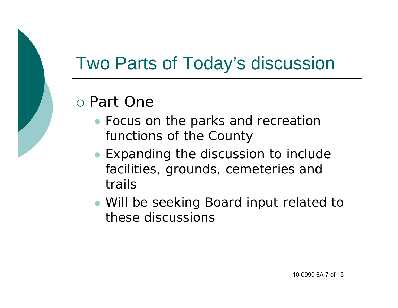### Two Parts of Today's discussion

#### Part One

- **Focus on the parks and recreation** functions of the County
- Expanding the discussion to include facilities, grounds, cemeteries and trails
- Will be seeking Board input related to these discussions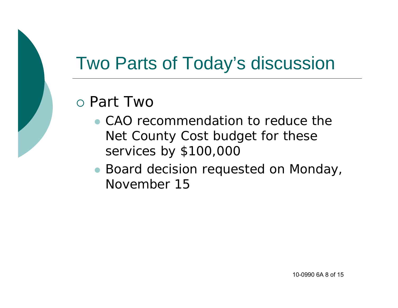### Two Parts of Today's discussion

#### Part Two

- CAO recommendation to reduce the Net County Cost budget for these services by \$100,000
- Board decision requested on Monday, November 15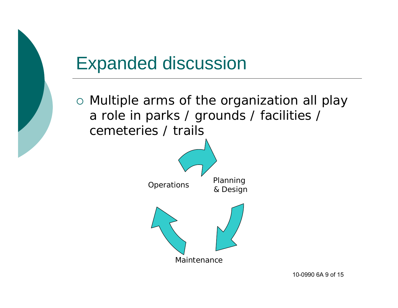#### Expanded discussion

 Multiple arms of the organization all play a role in parks / grounds / facilities / cemeteries / trails

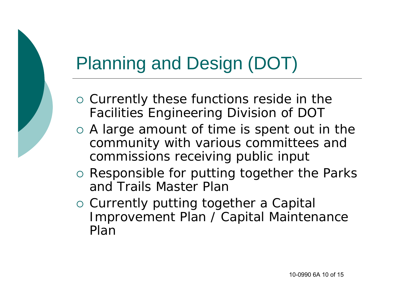### Planning and Design (DOT)

- o Currently these functions reside in the Facilities Engineering Division of DOT
- A large amount of time is spent out in the community with various committees and commissions receiving public input
- o Responsible for putting together the Parks and Trails Master Plan
- o Currently putting together a Capital Improvement Plan / Capital Maintenance Plan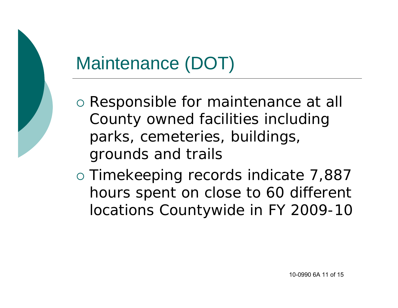# Maintenance (DOT)

- o Responsible for maintenance at all County owned facilities including parks, cemeteries, buildings, grounds and trails
- Timekeeping records indicate 7,887 hours spent on close to 60 different locations Countywide in FY 2009-10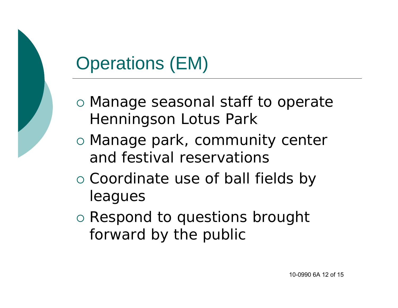# Operations (EM)

- Manage seasonal staff to operate Henningson Lotus Park
- o Manage park, community center and festival reservations
- o Coordinate use of ball fields by leagues
- Respond to questions brought forward by the public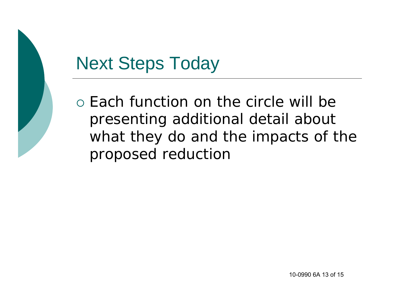#### Next Steps Today

o Each function on the circle will be presenting additional detail about what they do and the impacts of the proposed reduction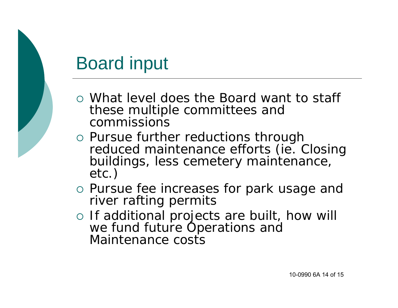### Board input

- What level does the Board want to staff these multiple committees and commissions
- Pursue further reductions through reduced maintenance efforts (ie. Closing buildings, less cemetery maintenance, etc.)
- o Pursue fee increases for park usage and river rafting permits
- o If additional projects are built, how will we fund future Operations and Maintenance costs